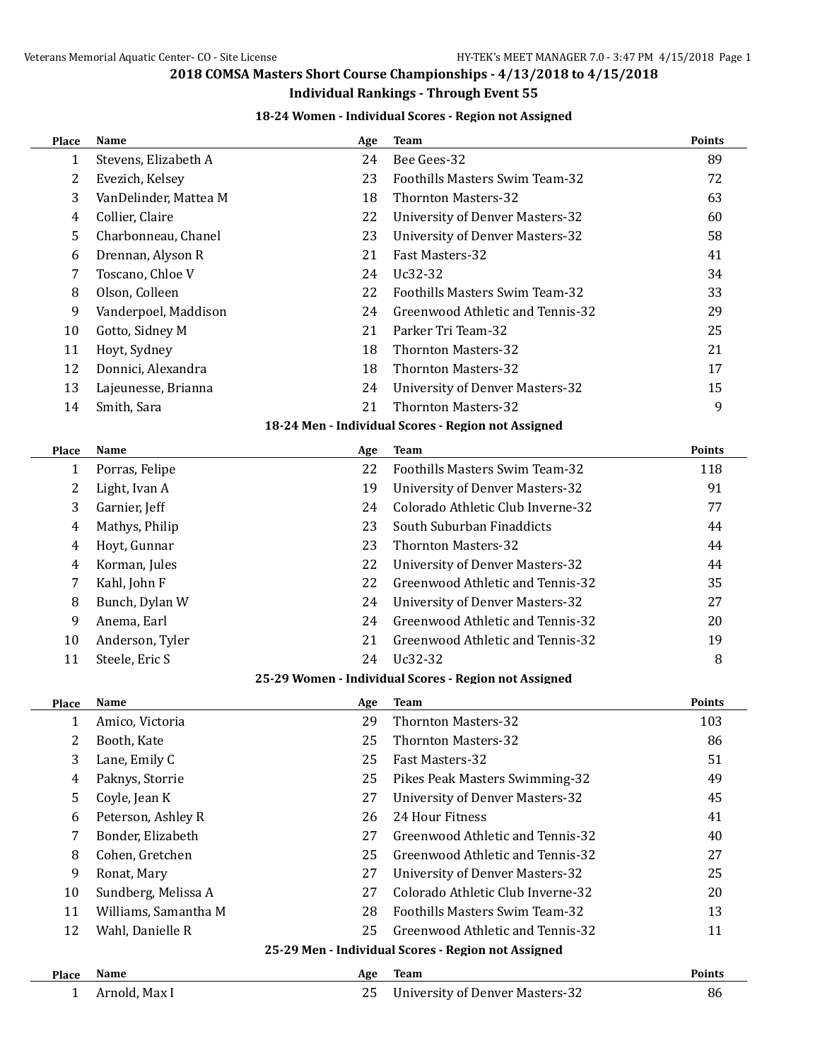#### **Individual Rankings - Through Event 55**

## **18-24 Women - Individual Scores - Region not Assigned**

| Place        | Name                  | Age | <b>Team</b>                                           | Points        |
|--------------|-----------------------|-----|-------------------------------------------------------|---------------|
| 1            | Stevens, Elizabeth A  | 24  | Bee Gees-32                                           | 89            |
| 2            | Evezich, Kelsey       | 23  | Foothills Masters Swim Team-32                        | 72            |
| 3            | VanDelinder, Mattea M | 18  | <b>Thornton Masters-32</b>                            | 63            |
| 4            | Collier, Claire       | 22  | <b>University of Denver Masters-32</b>                | 60            |
| 5            | Charbonneau, Chanel   | 23  | <b>University of Denver Masters-32</b>                | 58            |
| 6            | Drennan, Alyson R     | 21  | Fast Masters-32                                       | 41            |
| 7            | Toscano, Chloe V      | 24  | Uc32-32                                               | 34            |
| 8            | Olson, Colleen        | 22  | Foothills Masters Swim Team-32                        | 33            |
| 9            | Vanderpoel, Maddison  | 24  | Greenwood Athletic and Tennis-32                      | 29            |
| 10           | Gotto, Sidney M       | 21  | Parker Tri Team-32                                    | 25            |
| 11           | Hoyt, Sydney          | 18  | <b>Thornton Masters-32</b>                            | 21            |
| 12           | Donnici, Alexandra    | 18  | <b>Thornton Masters-32</b>                            | 17            |
| 13           | Lajeunesse, Brianna   | 24  | <b>University of Denver Masters-32</b>                | 15            |
| 14           | Smith, Sara           | 21  | <b>Thornton Masters-32</b>                            | 9             |
|              |                       |     | 18-24 Men - Individual Scores - Region not Assigned   |               |
| <b>Place</b> | Name                  | Age | <b>Team</b>                                           | <b>Points</b> |
| 1            | Porras, Felipe        | 22  | <b>Foothills Masters Swim Team-32</b>                 | 118           |
| 2            | Light, Ivan A         | 19  | <b>University of Denver Masters-32</b>                | 91            |
| 3            | Garnier, Jeff         | 24  | Colorado Athletic Club Inverne-32                     | 77            |
| 4            | Mathys, Philip        | 23  | South Suburban Finaddicts                             | 44            |
| 4            | Hoyt, Gunnar          | 23  | <b>Thornton Masters-32</b>                            | 44            |
| 4            | Korman, Jules         | 22  | <b>University of Denver Masters-32</b>                | 44            |
| 7            | Kahl, John F          | 22  | Greenwood Athletic and Tennis-32                      | 35            |
| 8            | Bunch, Dylan W        | 24  | <b>University of Denver Masters-32</b>                | 27            |
| 9            | Anema, Earl           | 24  | Greenwood Athletic and Tennis-32                      | 20            |
| 10           | Anderson, Tyler       | 21  | Greenwood Athletic and Tennis-32                      | 19            |
| 11           | Steele, Eric S        | 24  | Uc32-32                                               | 8             |
|              |                       |     | 25-29 Women - Individual Scores - Region not Assigned |               |
| <b>Place</b> | Name                  | Age | <b>Team</b>                                           | <b>Points</b> |
| 1            | Amico, Victoria       | 29  | <b>Thornton Masters-32</b>                            | 103           |
| 2            | Booth, Kate           | 25  | <b>Thornton Masters-32</b>                            | 86            |
| 3            | Lane, Emily C         | 25  | Fast Masters-32                                       | 51            |
| 4            | Paknys, Storrie       | 25  | Pikes Peak Masters Swimming-32                        | 49            |
| 5            | Coyle, Jean K         | 27  | <b>University of Denver Masters-32</b>                | 45            |
| 6            | Peterson, Ashley R    | 26  | 24 Hour Fitness                                       | 41            |
| 7            | Bonder, Elizabeth     | 27  | Greenwood Athletic and Tennis-32                      | 40            |
| 8            | Cohen, Gretchen       | 25  | Greenwood Athletic and Tennis-32                      | 27            |
| 9            | Ronat, Mary           | 27  | <b>University of Denver Masters-32</b>                | 25            |
| 10           | Sundberg, Melissa A   | 27  | Colorado Athletic Club Inverne-32                     | 20            |
| 11           | Williams, Samantha M  | 28  | Foothills Masters Swim Team-32                        | 13            |
| 12           | Wahl, Danielle R      | 25  | Greenwood Athletic and Tennis-32                      | 11            |
|              |                       |     | 25-29 Men - Individual Scores - Region not Assigned   |               |
| <b>Place</b> | Name                  | Age | <b>Team</b>                                           | Points        |
| 1            | Arnold, Max I         | 25  | <b>University of Denver Masters-32</b>                | 86            |
|              |                       |     |                                                       |               |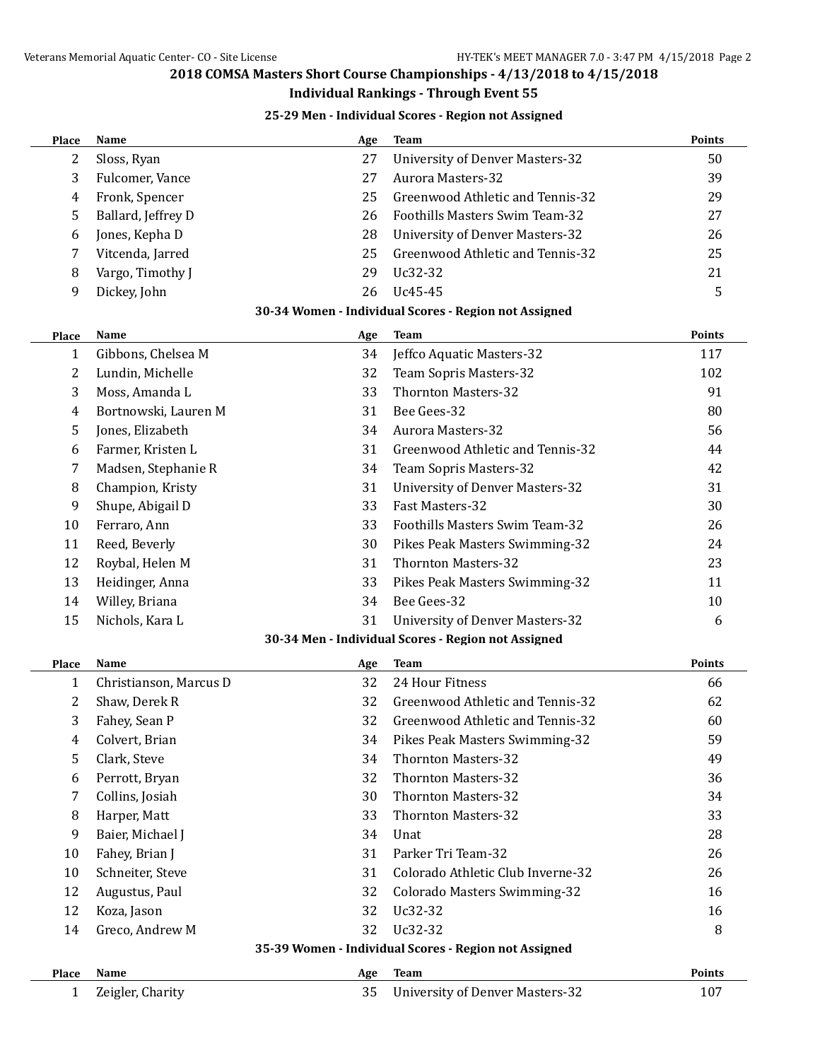#### **Individual Rankings - Through Event 55**

#### **25-29 Men - Individual Scores - Region not Assigned**

| Place          | <b>Name</b>            | Age | <b>Team</b>                                           | Points        |
|----------------|------------------------|-----|-------------------------------------------------------|---------------|
| $\overline{2}$ | Sloss, Ryan            | 27  | <b>University of Denver Masters-32</b>                | 50            |
| 3              | Fulcomer, Vance        | 27  | <b>Aurora Masters-32</b>                              | 39            |
| $\overline{4}$ | Fronk, Spencer         | 25  | Greenwood Athletic and Tennis-32                      | 29            |
| 5              | Ballard, Jeffrey D     | 26  | Foothills Masters Swim Team-32                        | 27            |
| 6              | Jones, Kepha D         | 28  | <b>University of Denver Masters-32</b>                | 26            |
| 7              | Vitcenda, Jarred       | 25  | Greenwood Athletic and Tennis-32                      | 25            |
| 8              | Vargo, Timothy J       | 29  | Uc32-32                                               | 21            |
| 9              | Dickey, John           | 26  | Uc45-45                                               | 5             |
|                |                        |     | 30-34 Women - Individual Scores - Region not Assigned |               |
| Place          | Name                   | Age | <b>Team</b>                                           | <b>Points</b> |
| 1              | Gibbons, Chelsea M     | 34  | Jeffco Aquatic Masters-32                             | 117           |
| 2              | Lundin, Michelle       | 32  | Team Sopris Masters-32                                | 102           |
| 3              | Moss, Amanda L         | 33  | <b>Thornton Masters-32</b>                            | 91            |
| 4              | Bortnowski, Lauren M   | 31  | Bee Gees-32                                           | 80            |
| 5              | Jones, Elizabeth       | 34  | <b>Aurora Masters-32</b>                              | 56            |
| 6              | Farmer, Kristen L      | 31  | Greenwood Athletic and Tennis-32                      | 44            |
| 7              | Madsen, Stephanie R    | 34  | Team Sopris Masters-32                                | 42            |
| 8              | Champion, Kristy       | 31  | <b>University of Denver Masters-32</b>                | 31            |
| 9              | Shupe, Abigail D       | 33  | Fast Masters-32                                       | 30            |
| 10             | Ferraro, Ann           | 33  | Foothills Masters Swim Team-32                        | 26            |
| 11             | Reed, Beverly          | 30  | Pikes Peak Masters Swimming-32                        | 24            |
| 12             | Roybal, Helen M        | 31  | <b>Thornton Masters-32</b>                            | 23            |
| 13             | Heidinger, Anna        | 33  | Pikes Peak Masters Swimming-32                        | 11            |
| 14             | Willey, Briana         | 34  | Bee Gees-32                                           | 10            |
| 15             | Nichols, Kara L        | 31  | <b>University of Denver Masters-32</b>                | 6             |
|                |                        |     | 30-34 Men - Individual Scores - Region not Assigned   |               |
| Place          | Name                   | Age | <b>Team</b>                                           | Points        |
| 1              | Christianson, Marcus D | 32  | 24 Hour Fitness                                       | 66            |
| 2              | Shaw, Derek R          | 32  | Greenwood Athletic and Tennis-32                      | 62            |
| 3              | Fahey, Sean P          | 32  | Greenwood Athletic and Tennis-32                      | 60            |
| 4              | Colvert, Brian         | 34  | Pikes Peak Masters Swimming-32                        | 59            |
| 5              | Clark, Steve           | 34  | <b>Thornton Masters-32</b>                            | 49            |
| 6              | Perrott, Bryan         | 32  | <b>Thornton Masters-32</b>                            | 36            |
| 7              | Collins, Josiah        | 30  | <b>Thornton Masters-32</b>                            | 34            |
| 8              | Harper, Matt           | 33  | <b>Thornton Masters-32</b>                            | 33            |
| 9              | Baier, Michael J       | 34  | Unat                                                  | 28            |
| 10             | Fahey, Brian J         | 31  | Parker Tri Team-32                                    | 26            |
| 10             | Schneiter, Steve       | 31  | Colorado Athletic Club Inverne-32                     | 26            |
| 12             | Augustus, Paul         | 32  | Colorado Masters Swimming-32                          | 16            |
|                | Koza, Jason            | 32  | Uc32-32                                               | 16            |
|                |                        | 32  | Uc32-32                                               | 8             |
| 12             |                        |     |                                                       |               |
| 14             | Greco, Andrew M        |     | 35-39 Women - Individual Scores - Region not Assigned |               |
| <b>Place</b>   | Name                   | Age | <b>Team</b>                                           | Points        |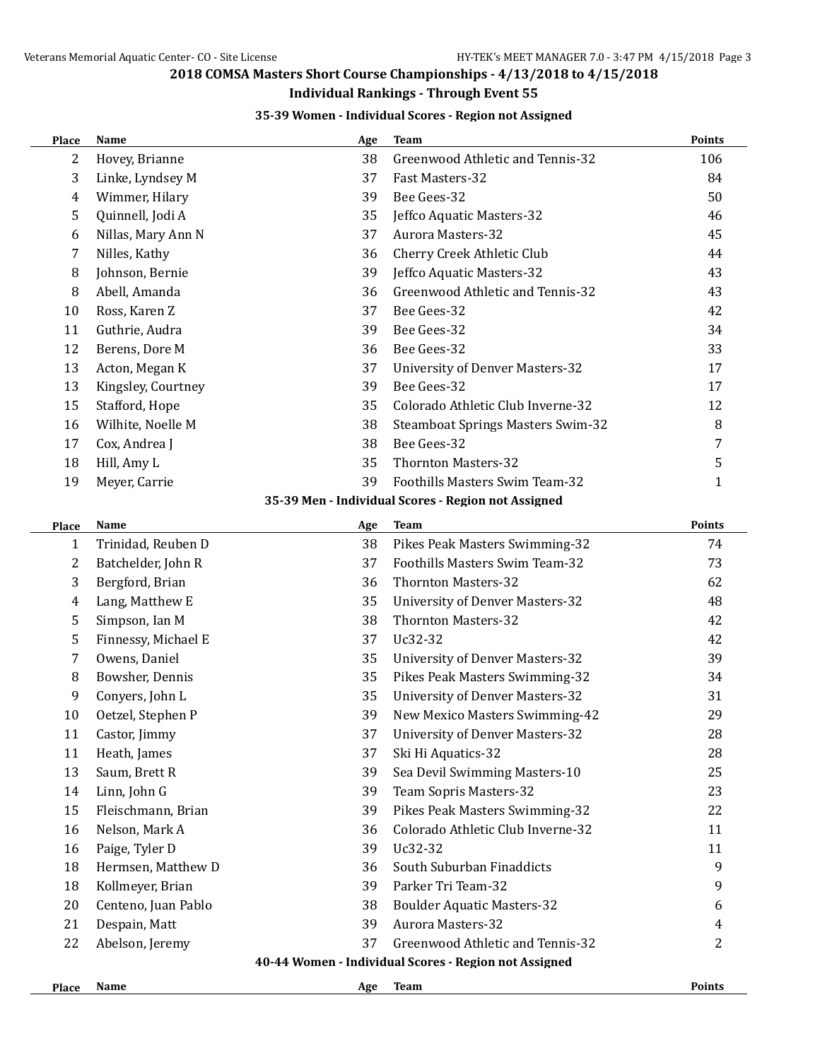## **Individual Rankings - Through Event 55**

#### **35-39 Women - Individual Scores - Region not Assigned**

| Place          | Name                | Age | <b>Team</b>                                           | <b>Points</b>  |
|----------------|---------------------|-----|-------------------------------------------------------|----------------|
| $\overline{2}$ | Hovey, Brianne      | 38  | Greenwood Athletic and Tennis-32                      | 106            |
| 3              | Linke, Lyndsey M    | 37  | Fast Masters-32                                       | 84             |
| $\overline{4}$ | Wimmer, Hilary      | 39  | Bee Gees-32                                           | 50             |
| 5              | Quinnell, Jodi A    | 35  | Jeffco Aquatic Masters-32                             | 46             |
| 6              | Nillas, Mary Ann N  | 37  | <b>Aurora Masters-32</b>                              | 45             |
| 7              | Nilles, Kathy       | 36  | Cherry Creek Athletic Club                            | 44             |
| 8              | Johnson, Bernie     | 39  | Jeffco Aquatic Masters-32                             | 43             |
| 8              | Abell, Amanda       | 36  | Greenwood Athletic and Tennis-32                      | 43             |
| 10             | Ross, Karen Z       | 37  | Bee Gees-32                                           | 42             |
| 11             | Guthrie, Audra      | 39  | Bee Gees-32                                           | 34             |
| 12             | Berens, Dore M      | 36  | Bee Gees-32                                           | 33             |
| 13             | Acton, Megan K      | 37  | <b>University of Denver Masters-32</b>                | 17             |
| 13             | Kingsley, Courtney  | 39  | Bee Gees-32                                           | 17             |
| 15             | Stafford, Hope      | 35  | Colorado Athletic Club Inverne-32                     | 12             |
| 16             | Wilhite, Noelle M   | 38  | <b>Steamboat Springs Masters Swim-32</b>              | 8              |
| 17             | Cox, Andrea J       | 38  | Bee Gees-32                                           | 7              |
| 18             | Hill, Amy L         | 35  | <b>Thornton Masters-32</b>                            | 5              |
| 19             | Meyer, Carrie       | 39  | Foothills Masters Swim Team-32                        | $\mathbf{1}$   |
|                |                     |     | 35-39 Men - Individual Scores - Region not Assigned   |                |
| Place          | Name                | Age | <b>Team</b>                                           | <b>Points</b>  |
| $\mathbf{1}$   | Trinidad, Reuben D  | 38  | Pikes Peak Masters Swimming-32                        | 74             |
| $\overline{2}$ | Batchelder, John R  | 37  | Foothills Masters Swim Team-32                        | 73             |
| 3              | Bergford, Brian     | 36  | <b>Thornton Masters-32</b>                            | 62             |
| $\overline{4}$ | Lang, Matthew E     | 35  | <b>University of Denver Masters-32</b>                | 48             |
| 5              | Simpson, Ian M      | 38  | <b>Thornton Masters-32</b>                            | 42             |
| 5              | Finnessy, Michael E | 37  | Uc32-32                                               | 42             |
| $\overline{7}$ | Owens, Daniel       | 35  | <b>University of Denver Masters-32</b>                | 39             |
| 8              | Bowsher, Dennis     | 35  | Pikes Peak Masters Swimming-32                        | 34             |
| 9              | Conyers, John L     | 35  | <b>University of Denver Masters-32</b>                | 31             |
| 10             | Oetzel, Stephen P   | 39  | New Mexico Masters Swimming-42                        | 29             |
| 11             | Castor, Jimmy       | 37  | University of Denver Masters-32                       | 28             |
| 11             | Heath, James        | 37  | Ski Hi Aquatics-32                                    | 28             |
| 13             | Saum, Brett R       | 39  | Sea Devil Swimming Masters-10                         | 25             |
| 14             | Linn, John G        | 39  | Team Sopris Masters-32                                | 23             |
| 15             | Fleischmann, Brian  | 39  | Pikes Peak Masters Swimming-32                        | 22             |
| 16             | Nelson, Mark A      | 36  | Colorado Athletic Club Inverne-32                     | 11             |
| 16             | Paige, Tyler D      | 39  | Uc32-32                                               | 11             |
| 18             | Hermsen, Matthew D  | 36  | South Suburban Finaddicts                             | 9              |
| 18             | Kollmeyer, Brian    | 39  | Parker Tri Team-32                                    | 9              |
| 20             | Centeno, Juan Pablo | 38  | <b>Boulder Aquatic Masters-32</b>                     | 6              |
| 21             | Despain, Matt       | 39  | <b>Aurora Masters-32</b>                              | $\overline{4}$ |
| 22             | Abelson, Jeremy     | 37  | Greenwood Athletic and Tennis-32                      | 2              |
|                |                     |     | 40-44 Women - Individual Scores - Region not Assigned |                |
| Place          | Name                | Age | <b>Team</b>                                           | Points         |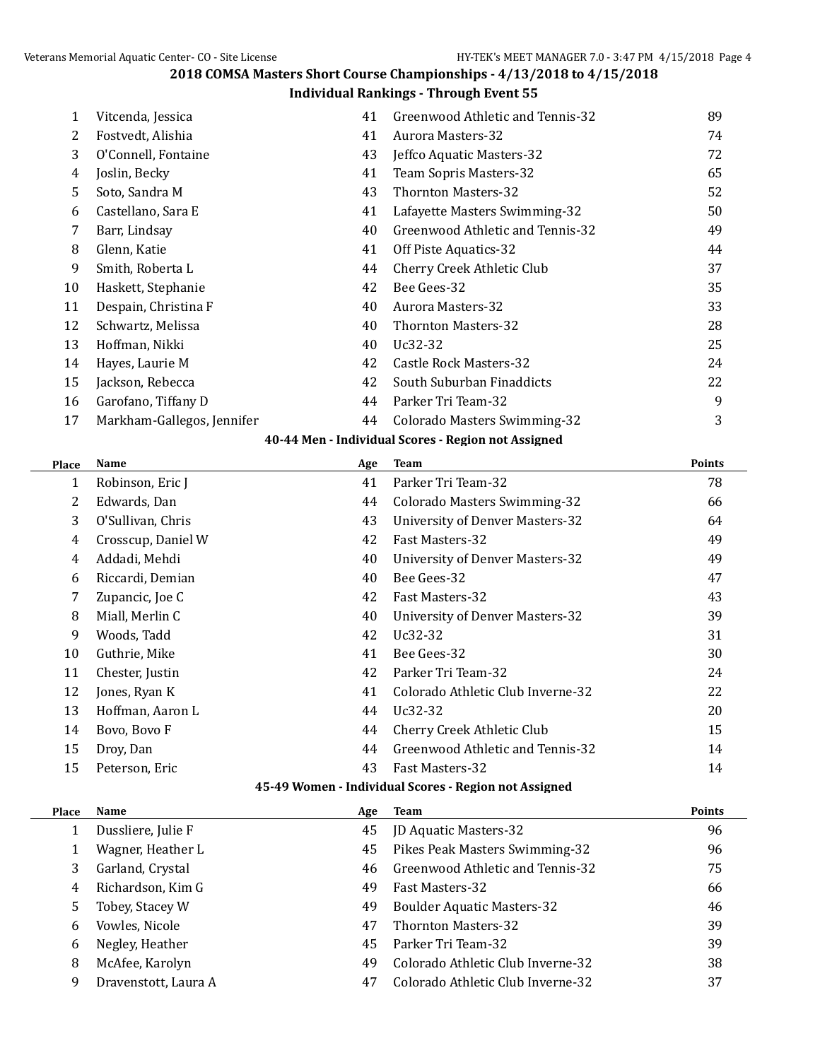#### **Individual Rankings - Through Event 55**

| 1  | Vitcenda, Jessica          | 41 | Greenwood Athletic and Tennis-32    | 89 |
|----|----------------------------|----|-------------------------------------|----|
| 2  | Fostvedt, Alishia          | 41 | <b>Aurora Masters-32</b>            | 74 |
| 3  | O'Connell, Fontaine        | 43 | Jeffco Aquatic Masters-32           | 72 |
| 4  | Joslin, Becky              | 41 | Team Sopris Masters-32              | 65 |
| 5. | Soto, Sandra M             | 43 | <b>Thornton Masters-32</b>          | 52 |
| 6  | Castellano, Sara E         | 41 | Lafayette Masters Swimming-32       | 50 |
| 7  | Barr, Lindsay              | 40 | Greenwood Athletic and Tennis-32    | 49 |
| 8  | Glenn, Katie               | 41 | Off Piste Aquatics-32               | 44 |
| 9  | Smith, Roberta L           | 44 | Cherry Creek Athletic Club          | 37 |
| 10 | Haskett, Stephanie         | 42 | Bee Gees-32                         | 35 |
| 11 | Despain, Christina F       | 40 | <b>Aurora Masters-32</b>            | 33 |
| 12 | Schwartz, Melissa          | 40 | <b>Thornton Masters-32</b>          | 28 |
| 13 | Hoffman, Nikki             | 40 | Uc32-32                             | 25 |
| 14 | Hayes, Laurie M            | 42 | Castle Rock Masters-32              | 24 |
| 15 | Jackson, Rebecca           | 42 | South Suburban Finaddicts           | 22 |
| 16 | Garofano, Tiffany D        | 44 | Parker Tri Team-32                  | 9  |
| 17 | Markham-Gallegos, Jennifer | 44 | <b>Colorado Masters Swimming-32</b> | 3  |
|    |                            |    |                                     |    |

### **40-44 Men - Individual Scores - Region not Assigned**

| <b>Place</b> | <b>Name</b>        | Age | <b>Team</b>                                           | <b>Points</b> |
|--------------|--------------------|-----|-------------------------------------------------------|---------------|
| 1            | Robinson, Eric J   | 41  | Parker Tri Team-32                                    | 78            |
| 2            | Edwards, Dan       | 44  | <b>Colorado Masters Swimming-32</b>                   | 66            |
| 3            | O'Sullivan, Chris  | 43  | <b>University of Denver Masters-32</b>                | 64            |
| 4            | Crosscup, Daniel W | 42  | Fast Masters-32                                       | 49            |
| 4            | Addadi, Mehdi      | 40  | <b>University of Denver Masters-32</b>                | 49            |
| 6            | Riccardi, Demian   | 40  | Bee Gees-32                                           | 47            |
| 7            | Zupancic, Joe C    | 42  | Fast Masters-32                                       | 43            |
| 8            | Miall, Merlin C    | 40  | University of Denver Masters-32                       | 39            |
| 9            | Woods, Tadd        | 42  | Uc32-32                                               | 31            |
| 10           | Guthrie, Mike      | 41  | Bee Gees-32                                           | 30            |
| 11           | Chester, Justin    | 42  | Parker Tri Team-32                                    | 24            |
| 12           | Jones, Ryan K      | 41  | Colorado Athletic Club Inverne-32                     | 22            |
| 13           | Hoffman, Aaron L   | 44  | Uc32-32                                               | 20            |
| 14           | Bovo, Bovo F       | 44  | Cherry Creek Athletic Club                            | 15            |
| 15           | Droy, Dan          | 44  | Greenwood Athletic and Tennis-32                      | 14            |
| 15           | Peterson, Eric     | 43  | <b>Fast Masters-32</b>                                | 14            |
|              |                    |     | 45-49 Women - Individual Scores - Region not Assigned |               |
| Place        | <b>Name</b>        | Age | <b>Team</b>                                           | <b>Points</b> |
| 1            | Dussliere, Julie F | 45  | <b>JD Aquatic Masters-32</b>                          | 96            |
| 1            | Wagner, Heather L  | 45  | Pikes Peak Masters Swimming-32                        | 96            |
| 3            | Garland, Crystal   | 46  | Greenwood Athletic and Tennis-32                      | 75            |
| 4            | Richardson, Kim G  | 49  | Fast Masters-32                                       | 66            |
| 5            | Tobey, Stacey W    | 49  | <b>Boulder Aquatic Masters-32</b>                     | 46            |
| 6            | Vowles, Nicole     | 47  | <b>Thornton Masters-32</b>                            | 39            |
| 6            | Negley, Heather    | 45  | Parker Tri Team-32                                    | 39            |
| 8            | McAfee, Karolyn    | 49  | Colorado Athletic Club Inverne-32                     | 38            |

9 Dravenstott, Laura A 47 Colorado Athletic Club Inverne-32 37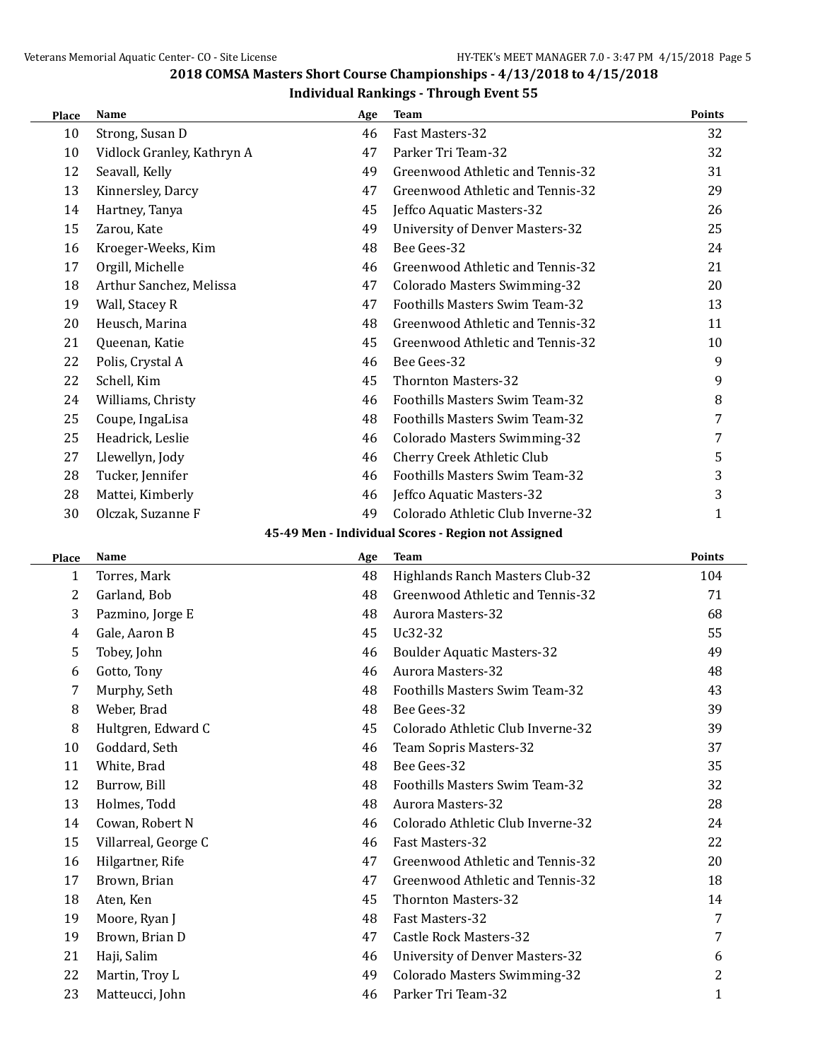| Place | Name                       | Age | <b>Team</b>                                         | <b>Points</b> |
|-------|----------------------------|-----|-----------------------------------------------------|---------------|
| 10    | Strong, Susan D            | 46  | Fast Masters-32                                     | 32            |
| 10    | Vidlock Granley, Kathryn A | 47  | Parker Tri Team-32                                  | 32            |
| 12    | Seavall, Kelly             | 49  | Greenwood Athletic and Tennis-32                    | 31            |
| 13    | Kinnersley, Darcy          | 47  | Greenwood Athletic and Tennis-32                    | 29            |
| 14    | Hartney, Tanya             | 45  | Jeffco Aquatic Masters-32                           | 26            |
| 15    | Zarou, Kate                | 49  | <b>University of Denver Masters-32</b>              | 25            |
| 16    | Kroeger-Weeks, Kim         | 48  | Bee Gees-32                                         | 24            |
| 17    | Orgill, Michelle           | 46  | Greenwood Athletic and Tennis-32                    | 21            |
| 18    | Arthur Sanchez, Melissa    | 47  | Colorado Masters Swimming-32                        | 20            |
| 19    | Wall, Stacey R             | 47  | Foothills Masters Swim Team-32                      | 13            |
| 20    | Heusch, Marina             | 48  | Greenwood Athletic and Tennis-32                    | 11            |
| 21    | Queenan, Katie             | 45  | Greenwood Athletic and Tennis-32                    | 10            |
| 22    | Polis, Crystal A           | 46  | Bee Gees-32                                         | 9             |
| 22    | Schell, Kim                | 45  | <b>Thornton Masters-32</b>                          | 9             |
| 24    | Williams, Christy          | 46  | <b>Foothills Masters Swim Team-32</b>               | $\, 8$        |
| 25    | Coupe, IngaLisa            | 48  | <b>Foothills Masters Swim Team-32</b>               | 7             |
| 25    | Headrick, Leslie           | 46  | <b>Colorado Masters Swimming-32</b>                 | 7             |
| 27    | Llewellyn, Jody            | 46  | Cherry Creek Athletic Club                          | 5             |
| 28    | Tucker, Jennifer           | 46  | Foothills Masters Swim Team-32                      | 3             |
| 28    | Mattei, Kimberly           | 46  | Jeffco Aquatic Masters-32                           | 3             |
| 30    | Olczak, Suzanne F          | 49  | Colorado Athletic Club Inverne-32                   | 1             |
|       |                            |     | 45-49 Men - Individual Scores - Region not Assigned |               |
| Place | Name                       | Age | <b>Team</b>                                         | Points        |
| 1     | Torres, Mark               | 48  | Highlands Ranch Masters Club-32                     | 104           |
| 2     | Garland, Bob               | 48  | Greenwood Athletic and Tennis-32                    | 71            |
| 3     | Pazmino, Jorge E           | 48  | <b>Aurora Masters-32</b>                            | 68            |
| 4     | Gale, Aaron B              | 45  | Uc32-32                                             | 55            |
| 5     | Tobey, John                | 46  | <b>Boulder Aquatic Masters-32</b>                   | 49            |
| 6     | Gotto, Tony                | 46  | <b>Aurora Masters-32</b>                            | 48            |
| 7     | Murphy, Seth               | 48  | Foothills Masters Swim Team-32                      | 43            |
| 8     | Weber, Brad                | 48  | Bee Gees-32                                         | 39            |
| 8     | Hultgren, Edward C         | 45  | Colorado Athletic Club Inverne-32                   | 39            |
| 10    | Goddard, Seth              | 46  | Team Sopris Masters-32                              | 37            |
| 11    | White, Brad                | 48  | Bee Gees-32                                         | 35            |
| 12    | Burrow, Bill               | 48  | Foothills Masters Swim Team-32                      | 32            |
| 13    | Holmes, Todd               | 48  | <b>Aurora Masters-32</b>                            | 28            |
| 14    | Cowan, Robert N            | 46  | Colorado Athletic Club Inverne-32                   | 24            |
| 15    | Villarreal, George C       | 46  | Fast Masters-32                                     | 22            |
| 16    | Hilgartner, Rife           | 47  | Greenwood Athletic and Tennis-32                    | 20            |
| 17    | Brown, Brian               | 47  | Greenwood Athletic and Tennis-32                    | 18            |
| 18    | Aten, Ken                  | 45  | <b>Thornton Masters-32</b>                          | 14            |
| 19    | Moore, Ryan J              | 48  | Fast Masters-32                                     | 7             |
| 19    | Brown, Brian D             | 47  | <b>Castle Rock Masters-32</b>                       | 7             |
| 21    | Haji, Salim                | 46  | <b>University of Denver Masters-32</b>              | 6             |
| 22    | Martin, Troy L             | 49  | <b>Colorado Masters Swimming-32</b>                 | 2             |
| 23    | Matteucci, John            | 46  | Parker Tri Team-32                                  | $\mathbf{1}$  |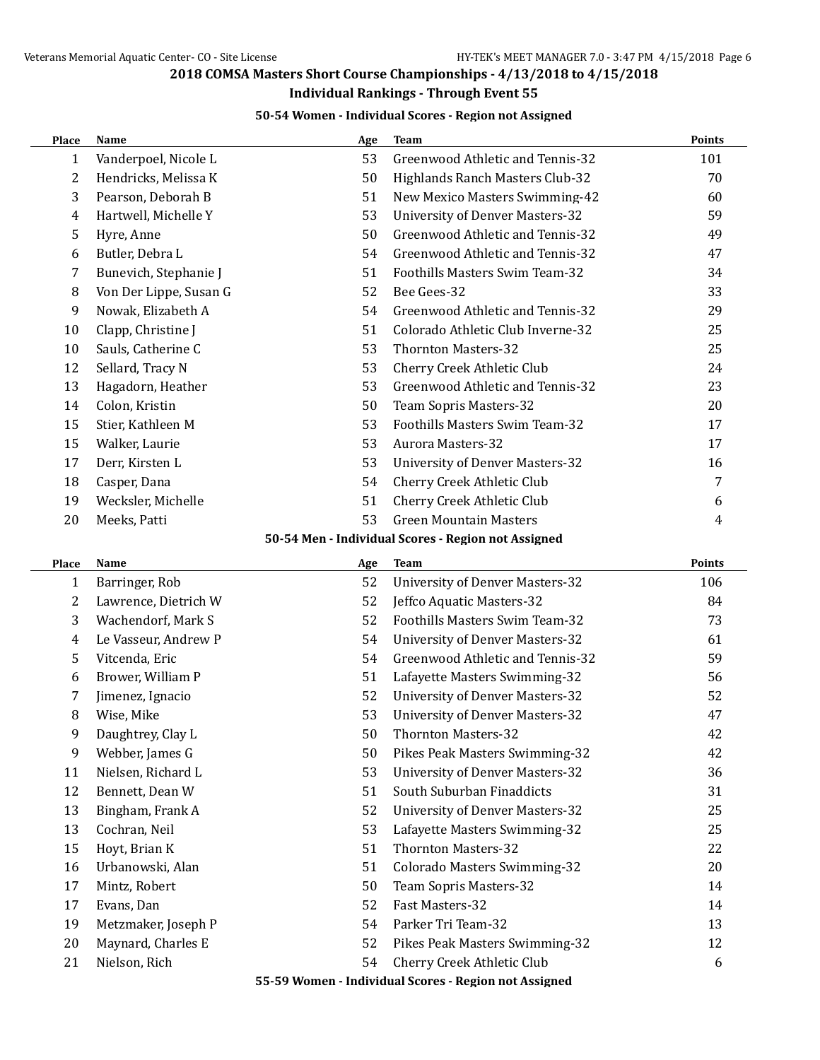$\overline{a}$ 

 $\overline{\phantom{0}}$ 

## **2018 COMSA Masters Short Course Championships - 4/13/2018 to 4/15/2018**

## **Individual Rankings - Through Event 55**

### **50-54 Women - Individual Scores - Region not Assigned**

| Place          | <b>Name</b>            | Age | <b>Team</b>                                           | Points |
|----------------|------------------------|-----|-------------------------------------------------------|--------|
| $\mathbf{1}$   | Vanderpoel, Nicole L   | 53  | Greenwood Athletic and Tennis-32                      | 101    |
| 2              | Hendricks, Melissa K   | 50  | Highlands Ranch Masters Club-32                       | 70     |
| 3              | Pearson, Deborah B     | 51  | New Mexico Masters Swimming-42                        | 60     |
| $\overline{4}$ | Hartwell, Michelle Y   | 53  | <b>University of Denver Masters-32</b>                | 59     |
| 5              | Hyre, Anne             | 50  | Greenwood Athletic and Tennis-32                      | 49     |
| 6              | Butler, Debra L        | 54  | Greenwood Athletic and Tennis-32                      | 47     |
| 7              | Bunevich, Stephanie J  | 51  | Foothills Masters Swim Team-32                        | 34     |
| 8              | Von Der Lippe, Susan G | 52  | Bee Gees-32                                           | 33     |
| 9              | Nowak, Elizabeth A     | 54  | Greenwood Athletic and Tennis-32                      | 29     |
| 10             | Clapp, Christine J     | 51  | Colorado Athletic Club Inverne-32                     | 25     |
| 10             | Sauls, Catherine C     | 53  | <b>Thornton Masters-32</b>                            | 25     |
| 12             | Sellard, Tracy N       | 53  | Cherry Creek Athletic Club                            | 24     |
| 13             | Hagadorn, Heather      | 53  | Greenwood Athletic and Tennis-32                      | 23     |
| 14             | Colon, Kristin         | 50  | Team Sopris Masters-32                                | 20     |
| 15             | Stier, Kathleen M      | 53  | Foothills Masters Swim Team-32                        | 17     |
| 15             | Walker, Laurie         | 53  | <b>Aurora Masters-32</b>                              | 17     |
| 17             | Derr, Kirsten L        | 53  | <b>University of Denver Masters-32</b>                | 16     |
| 18             | Casper, Dana           | 54  | Cherry Creek Athletic Club                            | 7      |
| 19             | Wecksler, Michelle     | 51  | Cherry Creek Athletic Club                            | 6      |
| 20             | Meeks, Patti           | 53  | <b>Green Mountain Masters</b>                         | 4      |
|                |                        |     | 50-54 Men - Individual Scores - Region not Assigned   |        |
| Place          | Name                   | Age | <b>Team</b>                                           | Points |
| $\mathbf{1}$   | Barringer, Rob         | 52  | <b>University of Denver Masters-32</b>                | 106    |
| 2              | Lawrence, Dietrich W   | 52  | Jeffco Aquatic Masters-32                             | 84     |
| 3              | Wachendorf, Mark S     | 52  | Foothills Masters Swim Team-32                        | 73     |
| $\overline{4}$ | Le Vasseur, Andrew P   | 54  | <b>University of Denver Masters-32</b>                | 61     |
| 5              | Vitcenda, Eric         | 54  | Greenwood Athletic and Tennis-32                      | 59     |
| 6              | Brower, William P      | 51  | Lafayette Masters Swimming-32                         | 56     |
| 7              | Jimenez, Ignacio       | 52  | <b>University of Denver Masters-32</b>                | 52     |
| 8              | Wise, Mike             | 53  | <b>University of Denver Masters-32</b>                | 47     |
| 9              | Daughtrey, Clay L      | 50  | <b>Thornton Masters-32</b>                            | 42     |
| 9              | Webber, James G        | 50  | Pikes Peak Masters Swimming-32                        | 42     |
| 11             | Nielsen, Richard L     | 53  | <b>University of Denver Masters-32</b>                | 36     |
| 12             | Bennett, Dean W        | 51  | South Suburban Finaddicts                             | 31     |
| 13             | Bingham, Frank A       | 52  | <b>University of Denver Masters-32</b>                | 25     |
| 13             | Cochran, Neil          | 53  | Lafayette Masters Swimming-32                         | 25     |
| 15             | Hoyt, Brian K          | 51  | <b>Thornton Masters-32</b>                            | 22     |
| 16             | Urbanowski, Alan       | 51  | Colorado Masters Swimming-32                          | 20     |
| 17             | Mintz, Robert          | 50  | Team Sopris Masters-32                                | 14     |
| 17             | Evans, Dan             | 52  | Fast Masters-32                                       | 14     |
| 19             | Metzmaker, Joseph P    | 54  | Parker Tri Team-32                                    | 13     |
| 20             | Maynard, Charles E     | 52  | Pikes Peak Masters Swimming-32                        | 12     |
| 21             | Nielson, Rich          | 54  | Cherry Creek Athletic Club                            | 6      |
|                |                        |     | 55-59 Women - Individual Scores - Region not Assigned |        |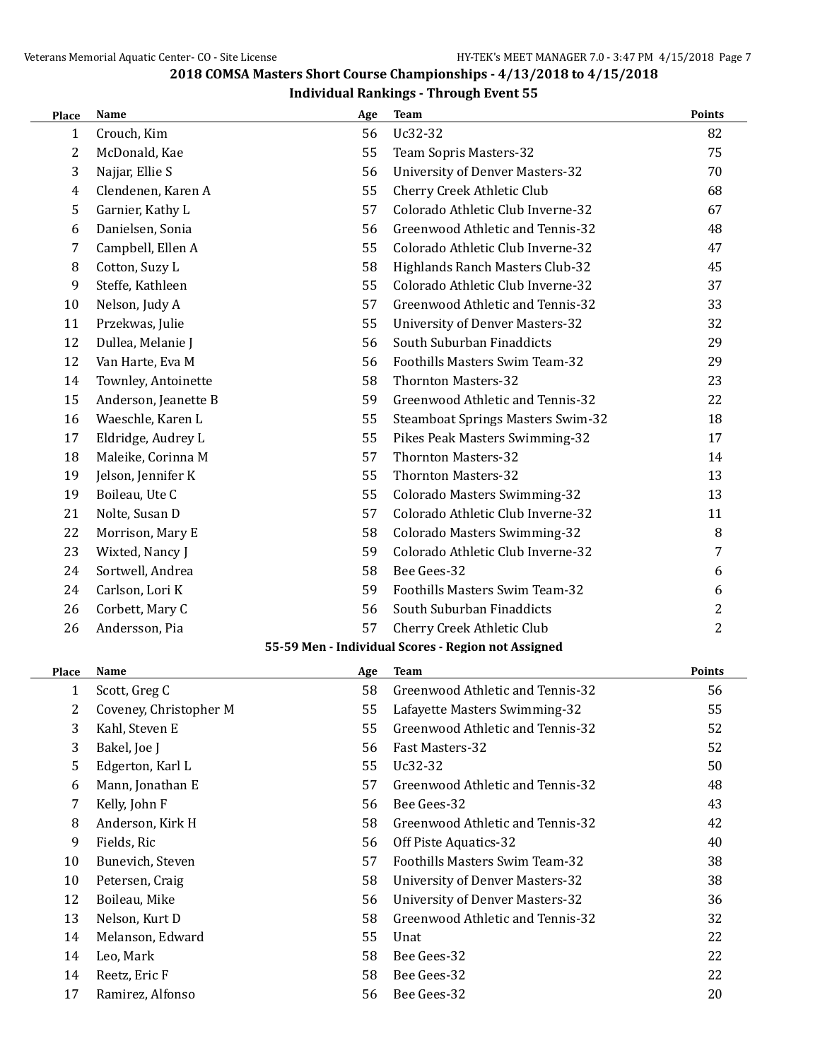| Place        | Name                   | Age | <b>Team</b>                                         | <b>Points</b>  |
|--------------|------------------------|-----|-----------------------------------------------------|----------------|
| $\mathbf{1}$ | Crouch, Kim            | 56  | Uc32-32                                             | 82             |
| 2            | McDonald, Kae          | 55  | Team Sopris Masters-32                              | 75             |
| 3            | Najjar, Ellie S        | 56  | <b>University of Denver Masters-32</b>              | 70             |
| 4            | Clendenen, Karen A     | 55  | Cherry Creek Athletic Club                          | 68             |
| 5            | Garnier, Kathy L       | 57  | Colorado Athletic Club Inverne-32                   | 67             |
| 6            | Danielsen, Sonia       | 56  | Greenwood Athletic and Tennis-32                    | 48             |
| 7            | Campbell, Ellen A      | 55  | Colorado Athletic Club Inverne-32                   | 47             |
| 8            | Cotton, Suzy L         | 58  | Highlands Ranch Masters Club-32                     | 45             |
| 9            | Steffe, Kathleen       | 55  | Colorado Athletic Club Inverne-32                   | 37             |
| 10           | Nelson, Judy A         | 57  | Greenwood Athletic and Tennis-32                    | 33             |
| 11           | Przekwas, Julie        | 55  | University of Denver Masters-32                     | 32             |
| 12           | Dullea, Melanie J      | 56  | South Suburban Finaddicts                           | 29             |
| 12           | Van Harte, Eva M       | 56  | Foothills Masters Swim Team-32                      | 29             |
| 14           | Townley, Antoinette    | 58  | <b>Thornton Masters-32</b>                          | 23             |
| 15           | Anderson, Jeanette B   | 59  | Greenwood Athletic and Tennis-32                    | 22             |
| 16           | Waeschle, Karen L      | 55  | <b>Steamboat Springs Masters Swim-32</b>            | 18             |
| 17           | Eldridge, Audrey L     | 55  | Pikes Peak Masters Swimming-32                      | 17             |
| 18           | Maleike, Corinna M     | 57  | <b>Thornton Masters-32</b>                          | 14             |
| 19           | Jelson, Jennifer K     | 55  | <b>Thornton Masters-32</b>                          | 13             |
| 19           | Boileau, Ute C         | 55  | Colorado Masters Swimming-32                        | 13             |
| 21           | Nolte, Susan D         | 57  | Colorado Athletic Club Inverne-32                   | 11             |
| 22           | Morrison, Mary E       | 58  | Colorado Masters Swimming-32                        | 8              |
| 23           | Wixted, Nancy J        | 59  | Colorado Athletic Club Inverne-32                   | 7              |
| 24           | Sortwell, Andrea       | 58  | Bee Gees-32                                         | 6              |
| 24           | Carlson, Lori K        | 59  | Foothills Masters Swim Team-32                      | 6              |
| 26           | Corbett, Mary C        | 56  | South Suburban Finaddicts                           | 2              |
| 26           | Andersson, Pia         | 57  | Cherry Creek Athletic Club                          | $\overline{2}$ |
|              |                        |     | 55-59 Men - Individual Scores - Region not Assigned |                |
| Place        | Name                   | Age | <b>Team</b>                                         | <b>Points</b>  |
| $\mathbf{1}$ | Scott, Greg C          | 58  | Greenwood Athletic and Tennis-32                    | 56             |
| 2            | Coveney, Christopher M | 55  | Lafayette Masters Swimming-32                       | 55             |
| 3            | Kahl, Steven E         | 55  | Greenwood Athletic and Tennis-32                    | 52             |
| 3            | Bakel, Joe J           | 56  | Fast Masters-32                                     | 52             |
| 5            | Edgerton, Karl L       | 55  | Uc32-32                                             | 50             |
| 6            | Mann, Jonathan E       | 57  | Greenwood Athletic and Tennis-32                    | 48             |
| 7            | Kelly, John F          | 56  | Bee Gees-32                                         | 43             |
| 8            | Anderson, Kirk H       | 58  | Greenwood Athletic and Tennis-32                    | 42             |
| 9            | Fields, Ric            | 56  | Off Piste Aquatics-32                               | 40             |
| 10           | Bunevich, Steven       | 57  | Foothills Masters Swim Team-32                      | 38             |
| 10           | Petersen, Craig        | 58  | <b>University of Denver Masters-32</b>              | 38             |
| 12           | Boileau, Mike          | 56  | <b>University of Denver Masters-32</b>              | 36             |
| 13           | Nelson, Kurt D         | 58  | Greenwood Athletic and Tennis-32                    | 32             |
| 14           | Melanson, Edward       | 55  | Unat                                                | 22             |
| 14           | Leo, Mark              | 58  | Bee Gees-32                                         | 22             |
| 14           | Reetz, Eric F          | 58  | Bee Gees-32                                         | 22             |
| 17           | Ramirez, Alfonso       | 56  | Bee Gees-32                                         | 20             |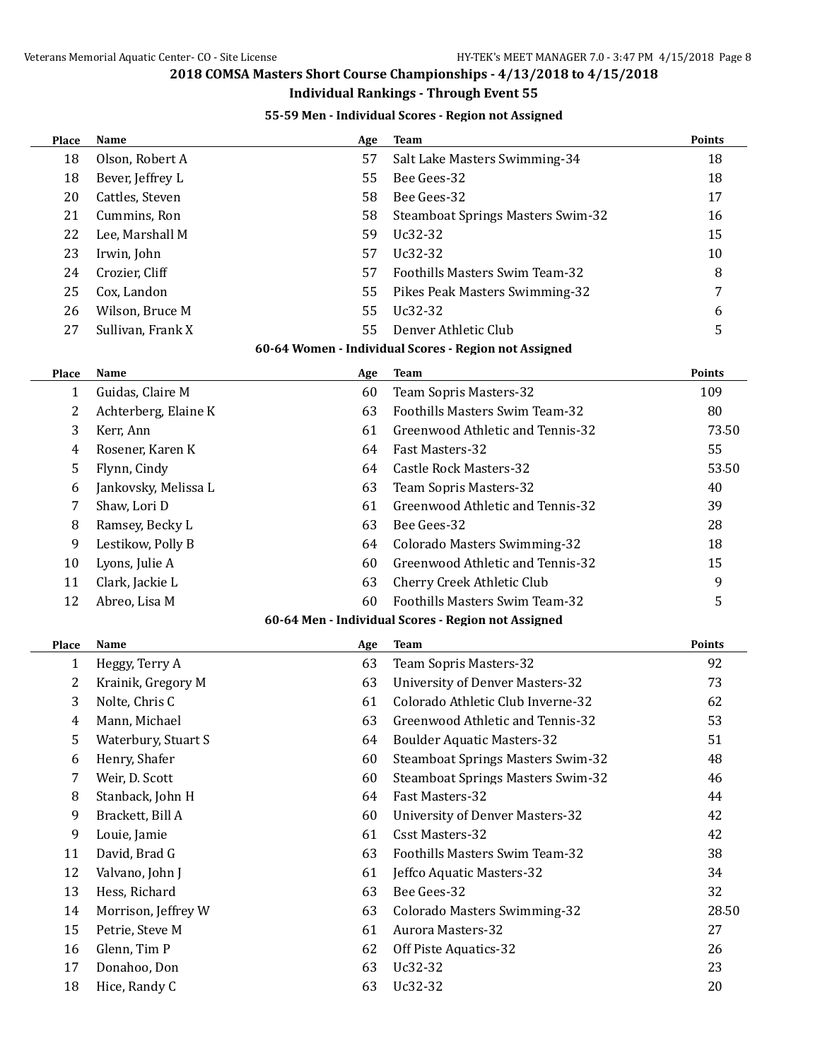#### **Individual Rankings - Through Event 55**

### **55-59 Men - Individual Scores - Region not Assigned**

| Place        | Name                 | Age | <b>Team</b>                                           | <b>Points</b> |
|--------------|----------------------|-----|-------------------------------------------------------|---------------|
| 18           | Olson, Robert A      | 57  | Salt Lake Masters Swimming-34                         | 18            |
| 18           | Bever, Jeffrey L     | 55  | Bee Gees-32                                           | 18            |
| 20           | Cattles, Steven      | 58  | Bee Gees-32                                           | 17            |
| 21           | Cummins, Ron         | 58  | <b>Steamboat Springs Masters Swim-32</b>              | 16            |
| 22           | Lee, Marshall M      | 59  | Uc32-32                                               | 15            |
| 23           | Irwin, John          | 57  | Uc32-32                                               | 10            |
| 24           | Crozier, Cliff       | 57  | Foothills Masters Swim Team-32                        | 8             |
| 25           | Cox, Landon          | 55  | Pikes Peak Masters Swimming-32                        | 7             |
| 26           | Wilson, Bruce M      | 55  | Uc32-32                                               | 6             |
| 27           | Sullivan, Frank X    | 55  | Denver Athletic Club                                  | 5             |
|              |                      |     | 60-64 Women - Individual Scores - Region not Assigned |               |
| <b>Place</b> | Name                 | Age | <b>Team</b>                                           | <b>Points</b> |
| 1            | Guidas, Claire M     | 60  | Team Sopris Masters-32                                | 109           |
| 2            | Achterberg, Elaine K | 63  | Foothills Masters Swim Team-32                        | 80            |
| 3            | Kerr, Ann            | 61  | Greenwood Athletic and Tennis-32                      | 73.50         |
| 4            | Rosener, Karen K     | 64  | Fast Masters-32                                       | 55            |
| 5            | Flynn, Cindy         | 64  | <b>Castle Rock Masters-32</b>                         | 53.50         |
| 6            | Jankovsky, Melissa L | 63  | Team Sopris Masters-32                                | 40            |
| 7            | Shaw, Lori D         | 61  | Greenwood Athletic and Tennis-32                      | 39            |
| 8            | Ramsey, Becky L      | 63  | Bee Gees-32                                           | 28            |
| 9            | Lestikow, Polly B    | 64  | Colorado Masters Swimming-32                          | 18            |
| 10           | Lyons, Julie A       | 60  | Greenwood Athletic and Tennis-32                      | 15            |
| 11           | Clark, Jackie L      | 63  | Cherry Creek Athletic Club                            | 9             |
| 12           | Abreo, Lisa M        | 60  | Foothills Masters Swim Team-32                        | 5             |
|              |                      |     | 60-64 Men - Individual Scores - Region not Assigned   |               |
| Place        | Name                 | Age | <b>Team</b>                                           | Points        |
| 1            | Heggy, Terry A       | 63  | Team Sopris Masters-32                                | 92            |
| 2            | Krainik, Gregory M   | 63  | <b>University of Denver Masters-32</b>                | 73            |
| 3            | Nolte, Chris C       | 61  | Colorado Athletic Club Inverne-32                     | 62            |
| 4            | Mann, Michael        | 63  | Greenwood Athletic and Tennis-32                      | 53            |
| 5            | Waterbury, Stuart S  | 64  | <b>Boulder Aquatic Masters-32</b>                     | 51            |
| 6            | Henry, Shafer        | 60  | <b>Steamboat Springs Masters Swim-32</b>              | 48            |
| 7            | Weir, D. Scott       | 60  | <b>Steamboat Springs Masters Swim-32</b>              | 46            |
| 8            | Stanback, John H     | 64  | Fast Masters-32                                       | 44            |
| 9            | Brackett, Bill A     | 60  | <b>University of Denver Masters-32</b>                | 42            |
| 9            | Louie, Jamie         | 61  | <b>Csst Masters-32</b>                                | 42            |
| 11           | David, Brad G        | 63  | Foothills Masters Swim Team-32                        | 38            |
| 12           | Valvano, John J      | 61  | Jeffco Aquatic Masters-32                             | 34            |
| 13           | Hess, Richard        | 63  | Bee Gees-32                                           | 32            |
| 14           | Morrison, Jeffrey W  | 63  | Colorado Masters Swimming-32                          | 28.50         |
| 15           | Petrie, Steve M      | 61  | Aurora Masters-32                                     | 27            |
| 16           | Glenn, Tim P         | 62  | Off Piste Aquatics-32                                 | 26            |
| 17           | Donahoo, Don         | 63  | Uc32-32                                               | 23            |
| 18           | Hice, Randy C        | 63  | Uc32-32                                               | 20            |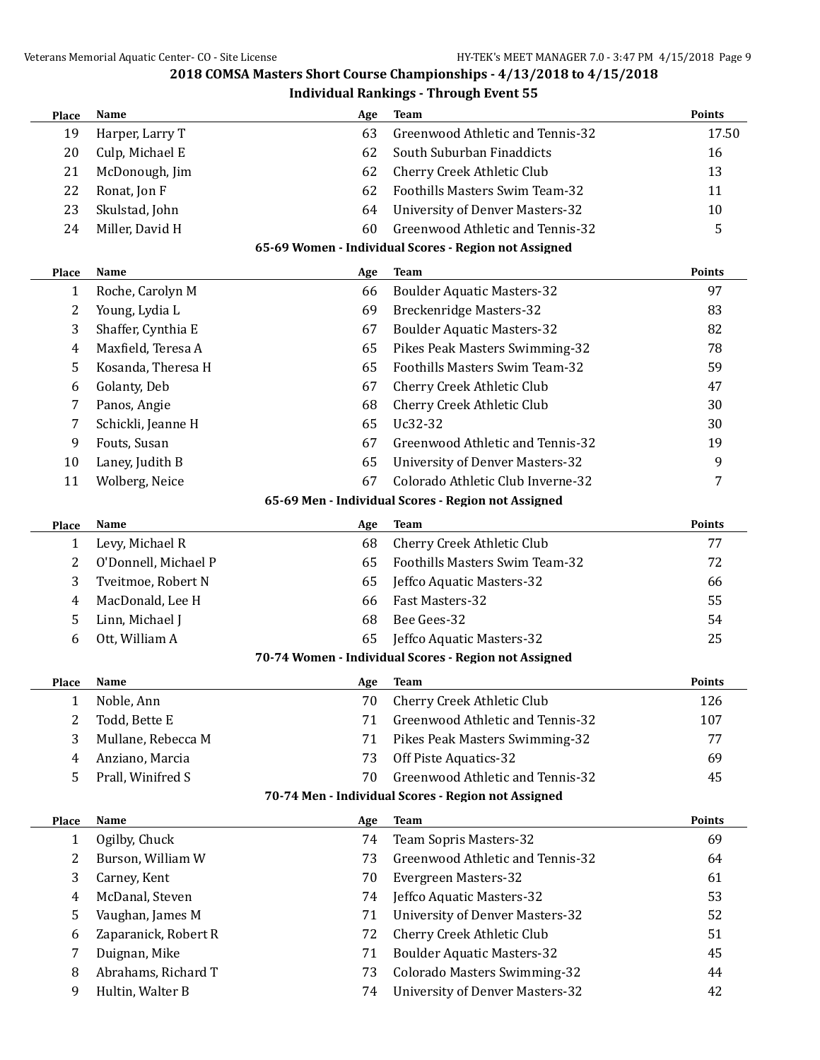| Place        | Name                 | Age | <b>Team</b>                                           | <b>Points</b> |
|--------------|----------------------|-----|-------------------------------------------------------|---------------|
| 19           | Harper, Larry T      | 63  | Greenwood Athletic and Tennis-32                      | 17.50         |
| 20           | Culp, Michael E      | 62  | South Suburban Finaddicts                             | 16            |
| 21           | McDonough, Jim       | 62  | Cherry Creek Athletic Club                            | 13            |
| 22           | Ronat, Jon F         | 62  | Foothills Masters Swim Team-32                        | 11            |
| 23           | Skulstad, John       | 64  | <b>University of Denver Masters-32</b>                | 10            |
| 24           | Miller, David H      | 60  | Greenwood Athletic and Tennis-32                      | 5             |
|              |                      |     | 65-69 Women - Individual Scores - Region not Assigned |               |
| Place        | Name                 | Age | <b>Team</b>                                           | Points        |
| $\mathbf{1}$ | Roche, Carolyn M     | 66  | <b>Boulder Aquatic Masters-32</b>                     | 97            |
| 2            | Young, Lydia L       | 69  | <b>Breckenridge Masters-32</b>                        | 83            |
| 3            | Shaffer, Cynthia E   | 67  | <b>Boulder Aquatic Masters-32</b>                     | 82            |
| 4            | Maxfield, Teresa A   | 65  | Pikes Peak Masters Swimming-32                        | 78            |
| 5            | Kosanda, Theresa H   | 65  | Foothills Masters Swim Team-32                        | 59            |
| 6            | Golanty, Deb         | 67  | Cherry Creek Athletic Club                            | 47            |
| 7            | Panos, Angie         | 68  | Cherry Creek Athletic Club                            | 30            |
| 7            | Schickli, Jeanne H   | 65  | Uc32-32                                               | 30            |
| 9            | Fouts, Susan         | 67  | Greenwood Athletic and Tennis-32                      | 19            |
| 10           | Laney, Judith B      | 65  | <b>University of Denver Masters-32</b>                | 9             |
| 11           | Wolberg, Neice       | 67  | Colorado Athletic Club Inverne-32                     | 7             |
|              |                      |     | 65-69 Men - Individual Scores - Region not Assigned   |               |
| Place        | Name                 | Age | <b>Team</b>                                           | Points        |
| $\mathbf{1}$ | Levy, Michael R      | 68  | Cherry Creek Athletic Club                            | 77            |
| 2            | O'Donnell, Michael P | 65  | Foothills Masters Swim Team-32                        | 72            |
| 3            | Tveitmoe, Robert N   | 65  | Jeffco Aquatic Masters-32                             | 66            |
| 4            | MacDonald, Lee H     | 66  | Fast Masters-32                                       | 55            |
| 5            | Linn, Michael J      | 68  | Bee Gees-32                                           | 54            |
| 6            | Ott, William A       | 65  | Jeffco Aquatic Masters-32                             | 25            |
|              |                      |     | 70-74 Women - Individual Scores - Region not Assigned |               |
|              |                      |     |                                                       |               |
| Place        | Name                 | Age | Team                                                  | <b>Points</b> |
| $\mathbf{1}$ | Noble, Ann           | 70  | <b>Cherry Creek Athletic Club</b>                     | 126           |
| 2            | Todd, Bette E        | 71  | Greenwood Athletic and Tennis-32                      | 107           |
| 3            | Mullane, Rebecca M   | 71  | Pikes Peak Masters Swimming-32                        | 77            |
| 4            | Anziano, Marcia      | 73  | Off Piste Aquatics-32                                 | 69            |
| 5            | Prall, Winifred S    | 70  | Greenwood Athletic and Tennis-32                      | 45            |
|              |                      |     | 70-74 Men - Individual Scores - Region not Assigned   |               |
| Place        | Name                 | Age | <b>Team</b>                                           | Points        |
| $\mathbf{1}$ | Ogilby, Chuck        | 74  | Team Sopris Masters-32                                | 69            |
| 2            | Burson, William W    | 73  | Greenwood Athletic and Tennis-32                      | 64            |
| 3            | Carney, Kent         | 70  | Evergreen Masters-32                                  | 61            |
| 4            | McDanal, Steven      | 74  | Jeffco Aquatic Masters-32                             | 53            |
| 5            | Vaughan, James M     | 71  | <b>University of Denver Masters-32</b>                | 52            |
| 6            | Zaparanick, Robert R | 72  | Cherry Creek Athletic Club                            | 51            |
| 7            | Duignan, Mike        | 71  | <b>Boulder Aquatic Masters-32</b>                     | 45            |
| 8            | Abrahams, Richard T  | 73  | Colorado Masters Swimming-32                          | 44            |
| 9            | Hultin, Walter B     | 74  | <b>University of Denver Masters-32</b>                | 42            |